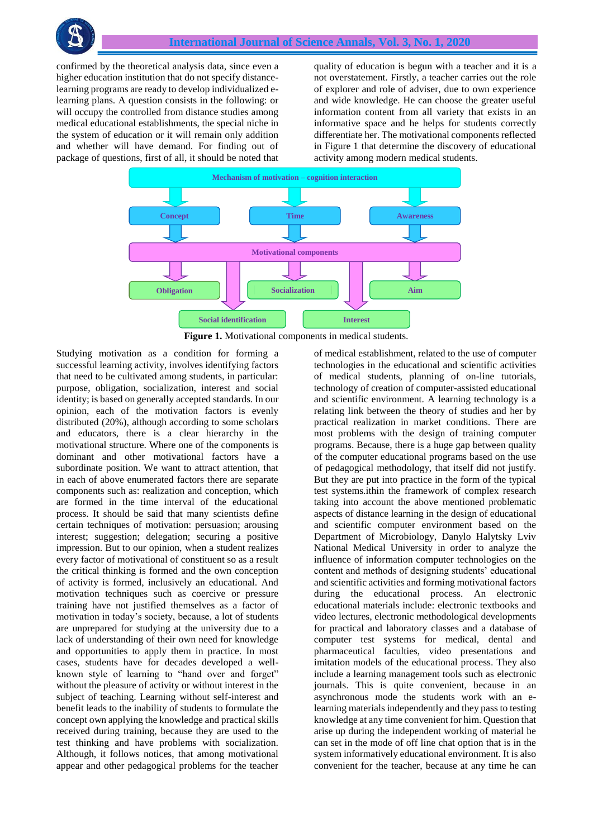

confirmed by the theoretical analysis data, since even a higher education institution that do not specify distancelearning programs are ready to develop individualized elearning plans. A question consists in the following: or will occupy the controlled from distance studies among medical educational establishments, the special niche in the system of education or it will remain only addition and whether will have demand. For finding out of package of questions, first of all, it should be noted that

quality of education is begun with a teacher and it is a not overstatement. Firstly, a teacher carries out the role of explorer and role of adviser, due to own experience and wide knowledge. He can choose the greater useful information content from all variety that exists in an informative space and he helps for students correctly differentiate her. The motivational components reflected in Figure 1 that determine the discovery of educational activity among modern medical students.



**Figure 1.** Motivational components in medical students.

Studying motivation as a condition for forming a successful learning activity, involves identifying factors that need to be cultivated among students, in particular: purpose, obligation, socialization, interest and social identity; is based on generally accepted standards. In our opinion, each of the motivation factors is evenly distributed (20%), although according to some scholars and educators, there is a clear hierarchy in the motivational structure. Where one of the components is dominant and other motivational factors have a subordinate position. We want to attract attention, that in each of above enumerated factors there are separate components such as: realization and conception, which are formed in the time interval of the educational process. It should be said that many scientists define certain techniques of motivation: persuasion; arousing interest; suggestion; delegation; securing a positive impression. But to our opinion, when a student realizes every factor of motivational of constituent so as a result the critical thinking is formed and the own conception of activity is formed, inclusively an educational. And motivation techniques such as coercive or pressure training have not justified themselves as a factor of motivation in today's society, because, a lot of students are unprepared for studying at the university due to a lack of understanding of their own need for knowledge and opportunities to apply them in practice. In most cases, students have for decades developed a wellknown style of learning to "hand over and forget" without the pleasure of activity or without interest in the subject of teaching. Learning without self-interest and benefit leads to the inability of students to formulate the concept own applying the knowledge and practical skills received during training, because they are used to the test thinking and have problems with socialization. Although, it follows notices, that among motivational appear and other pedagogical problems for the teacher

of medical establishment, related to the use of computer technologies in the educational and scientific activities of medical students, planning of on-line tutorials, technology of creation of computer-assisted educational and scientific environment. A learning technology is a relating link between the theory of studies and her by practical realization in market conditions. There are most problems with the design of training computer programs. Because, there is a huge gap between quality of the computer educational programs based on the use of pedagogical methodology, that itself did not justify. But they are put into practice in the form of the typical test systems.ithin the framework of complex research taking into account the above mentioned problematic aspects of distance learning in the design of educational and scientific computer environment based on the Department of Microbiology, Danylo Halytsky Lviv National Medical University in order to analyze the influence of information computer technologies on the content and methods of designing students' educational and scientific activities and forming motivational factors during the educational process. An electronic educational materials include: electronic textbooks and video lectures, electronic methodological developments for practical and laboratory classes and a database of computer test systems for medical, dental and pharmaceutical faculties, video presentations and imitation models of the educational process. They also include a learning management tools such as electronic journals. This is quite convenient, because in an asynchronous mode the students work with an elearning materials independently and they pass to testing knowledge at any time convenient for him. Question that arise up during the independent working of material he can set in the mode of off line chat option that is in the system informatively educational environment. It is also convenient for the teacher, because at any time he can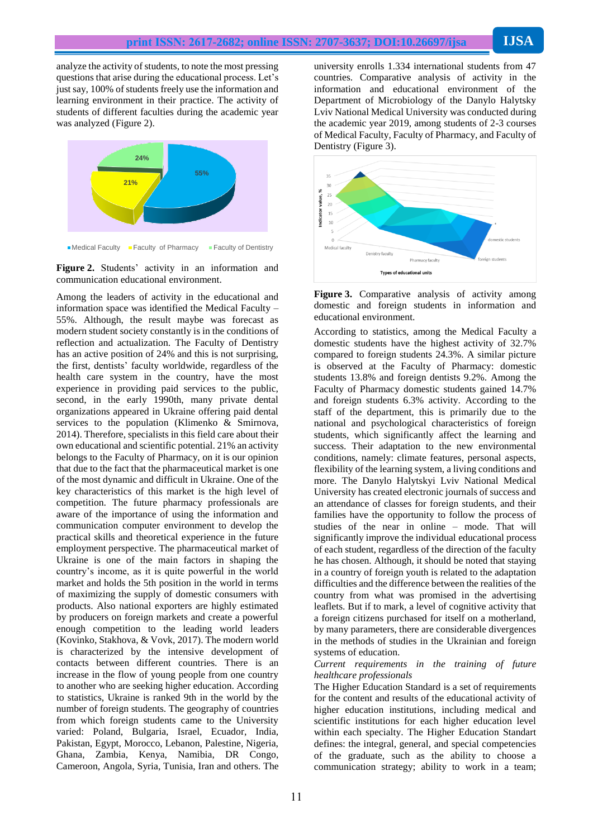analyze the activity of students, to note the most pressing questions that arise during the educational process. Let's just say, 100% of students freely use the information and learning environment in their practice. The activity of students of different faculties during the academic year was analyzed (Figure 2).





Among the leaders of activity in the educational and information space was identified the Medical Faculty – 55%. Although, the result maybe was forecast as modern student society constantly is in the conditions of reflection and actualization. The Faculty of Dentistry has an active position of 24% and this is not surprising, the first, dentists' faculty worldwide, regardless of the health care system in the country, have the most experience in providing paid services to the public, second, in the early 1990th, many private dental organizations appeared in Ukraine offering paid dental services to the population (Klimenko & Smirnova, 2014). Therefore, specialists in this field care about their own educational and scientific potential. 21% an activity belongs to the Faculty of Pharmacy, on it is our opinion that due to the fact that the pharmaceutical market is one of the most dynamic and difficult in Ukraine. One of the key characteristics of this market is the high level of competition. The future pharmacy professionals are aware of the importance of using the information and communication computer environment to develop the practical skills and theoretical experience in the future employment perspective. The pharmaceutical market of Ukraine is one of the main factors in shaping the country's income, as it is quite powerful in the world market and holds the 5th position in the world in terms of maximizing the supply of domestic consumers with products. Also national exporters are highly estimated by producers on foreign markets and create a powerful enough competition to the leading world leaders (Kovinko, Stakhova, & Vovk, 2017). The modern world is characterized by the intensive development of contacts between different countries. There is an increase in the flow of young people from one country to another who are seeking higher education. According to statistics, Ukraine is ranked 9th in the world by the number of foreign students. The geography of countries from which foreign students came to the University varied: Poland, Bulgaria, Israel, Ecuador, India, Pakistan, Egypt, Morocco, Lebanon, Palestine, Nigeria, Ghana, Zambia, Kenya, Namibia, DR Congo, Cameroon, Angola, Syria, Tunisia, Iran and others. The

university enrolls 1.334 international students from 47 countries. Comparative analysis of activity in the information and educational environment of the Department of Microbiology of the Danylo Halytsky Lviv National Medical University was conducted during the academic year 2019, among students of 2-3 courses of Medical Faculty, Faculty of Pharmacy, and Faculty of Dentistry (Figure 3).





According to statistics, among the Medical Faculty a domestic students have the highest activity of 32.7% compared to foreign students 24.3%. A similar picture is observed at the Faculty of Pharmacy: domestic students 13.8% and foreign dentists 9.2%. Among the Faculty of Pharmacy domestic students gained 14.7% and foreign students 6.3% activity. According to the staff of the department, this is primarily due to the national and psychological characteristics of foreign students, which significantly affect the learning and success. Their adaptation to the new environmental conditions, namely: climate features, personal aspects, flexibility of the learning system, a living conditions and more. The Danylo Halytskyi Lviv National Medical University has created electronic journals of success and an attendance of classes for foreign students, and their families have the opportunity to follow the process of studies of the near in online – mode. That will significantly improve the individual educational process of each student, regardless of the direction of the faculty he has chosen. Although, it should be noted that staying in a country of foreign youth is related to the adaptation difficulties and the difference between the realities of the country from what was promised in the advertising leaflets. But if to mark, a level of cognitive activity that a foreign citizens purchased for itself on a motherland, by many parameters, there are considerable divergences in the methods of studies in the Ukrainian and foreign systems of education.

### *Current requirements in the training of future healthcare professionals*

The Higher Education Standard is a set of requirements for the content and results of the educational activity of higher education institutions, including medical and scientific institutions for each higher education level within each specialty. The Higher Education Standart defines: the integral, general, and special competencies of the graduate, such as the ability to choose a communication strategy; ability to work in a team;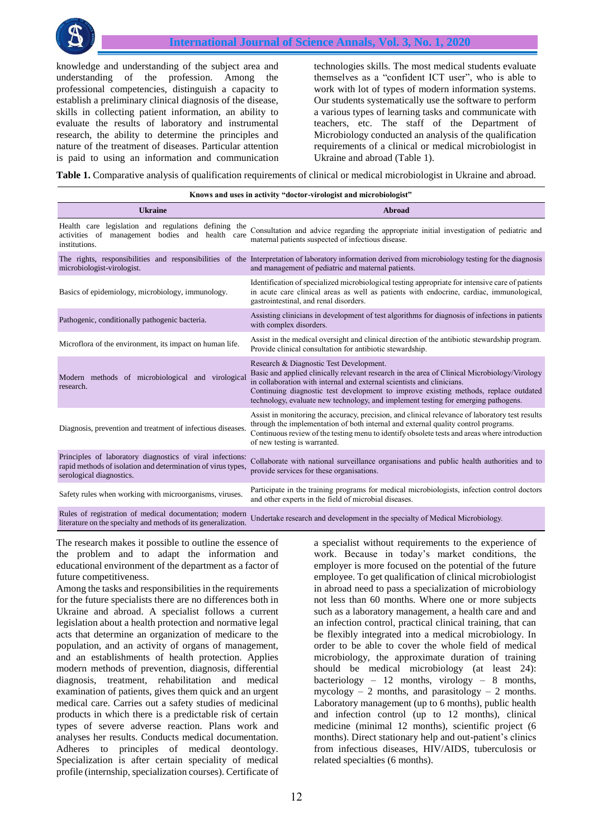

knowledge and understanding of the subject area and understanding of the profession. Among the professional competencies, distinguish a capacity to establish a preliminary clinical diagnosis of the disease, skills in collecting patient information, an ability to evaluate the results of laboratory and instrumental research, the ability to determine the principles and nature of the treatment of diseases. Particular attention is paid to using an information and communication technologies skills. The most medical students evaluate themselves as a "confident ICT user", who is able to work with lot of types of modern information systems. Our students systematically use the software to perform a various types of learning tasks and communicate with teachers, etc. The staff of the Department of Microbiology conducted an analysis of the qualification requirements of a clinical or medical microbiologist in Ukraine and abroad (Table 1).

**Table 1.** Comparative analysis of qualification requirements of clinical or medical microbiologist in Ukraine and abroad.

| Knows and uses in activity "doctor-virologist and microbiologist"                                                                                     |                                                                                                                                                                                                                                                                                                                                                                                                 |
|-------------------------------------------------------------------------------------------------------------------------------------------------------|-------------------------------------------------------------------------------------------------------------------------------------------------------------------------------------------------------------------------------------------------------------------------------------------------------------------------------------------------------------------------------------------------|
| <b>Ukraine</b>                                                                                                                                        | Abroad                                                                                                                                                                                                                                                                                                                                                                                          |
| Health care legislation and regulations defining the<br>activities of management bodies and<br>health care<br>institutions.                           | Consultation and advice regarding the appropriate initial investigation of pediatric and<br>maternal patients suspected of infectious disease.                                                                                                                                                                                                                                                  |
| microbiologist-virologist.                                                                                                                            | The rights, responsibilities and responsibilities of the Interpretation of laboratory information derived from microbiology testing for the diagnosis<br>and management of pediatric and maternal patients.                                                                                                                                                                                     |
| Basics of epidemiology, microbiology, immunology.                                                                                                     | Identification of specialized microbiological testing appropriate for intensive care of patients<br>in acute care clinical areas as well as patients with endocrine, cardiac, immunological,<br>gastrointestinal, and renal disorders.                                                                                                                                                          |
| Pathogenic, conditionally pathogenic bacteria.                                                                                                        | Assisting clinicians in development of test algorithms for diagnosis of infections in patients<br>with complex disorders.                                                                                                                                                                                                                                                                       |
| Microflora of the environment, its impact on human life.                                                                                              | Assist in the medical oversight and clinical direction of the antibiotic stewardship program.<br>Provide clinical consultation for antibiotic stewardship.                                                                                                                                                                                                                                      |
| Modern methods of microbiological and virological<br>research.                                                                                        | Research & Diagnostic Test Development.<br>Basic and applied clinically relevant research in the area of Clinical Microbiology/Virology<br>in collaboration with internal and external scientists and clinicians.<br>Continuing diagnostic test development to improve existing methods, replace outdated<br>technology, evaluate new technology, and implement testing for emerging pathogens. |
| Diagnosis, prevention and treatment of infectious diseases.                                                                                           | Assist in monitoring the accuracy, precision, and clinical relevance of laboratory test results<br>through the implementation of both internal and external quality control programs.<br>Continuous review of the testing menu to identify obsolete tests and areas where introduction<br>of new testing is warranted.                                                                          |
| Principles of laboratory diagnostics of viral infections:<br>rapid methods of isolation and determination of virus types,<br>serological diagnostics. | Collaborate with national surveillance organisations and public health authorities and to<br>provide services for these organisations.                                                                                                                                                                                                                                                          |
| Safety rules when working with microorganisms, viruses.                                                                                               | Participate in the training programs for medical microbiologists, infection control doctors<br>and other experts in the field of microbial diseases.                                                                                                                                                                                                                                            |
| Rules of registration of medical documentation: modern $\ldots$                                                                                       |                                                                                                                                                                                                                                                                                                                                                                                                 |

Rules of registration of medical documentation; modern Undertake research and development in the specialty of Medical Microbiology.<br>literature on the specialty and methods of its generalization.

The research makes it possible to outline the essence of the problem and to adapt the information and educational environment of the department as a factor of future competitiveness.

Among the tasks and responsibilities in the requirements for the future specialists there are no differences both in Ukraine and abroad. A specialist follows a current legislation about a health protection and normative legal acts that determine an organization of medicare to the population, and an activity of organs of management, and an establishments of health protection. Applies modern methods of prevention, diagnosis, differential diagnosis, treatment, rehabilitation and medical examination of patients, gives them quick and an urgent medical care. Carries out a safety studies of medicinal products in which there is a predictable risk of certain types of severe adverse reaction. Plans work and analyses her results. Conducts medical documentation. Adheres to principles of medical deontology. Specialization is after certain speciality of medical profile (internship, specialization courses). Certificate of

a specialist without requirements to the experience of work. Because in today's market conditions, the employer is more focused on the potential of the future employee. To get qualification of clinical microbiologist in abroad need to pass a specialization of microbiology not less than 60 months. Where one or more subjects such as a laboratory management, a health care and and an infection control, practical clinical training, that can be flexibly integrated into a medical microbiology. In order to be able to cover the whole field of medical microbiology, the approximate duration of training should be medical microbiology (at least 24): bacteriology – 12 months, virology – 8 months, mycology – 2 months, and parasitology – 2 months. Laboratory management (up to 6 months), public health and infection control (up to 12 months), clinical medicine (minimal 12 months), scientific project (6 months). Direct stationary help and out-patient's clinics from infectious diseases, HIV/AIDS, tuberculosis or related specialties (6 months).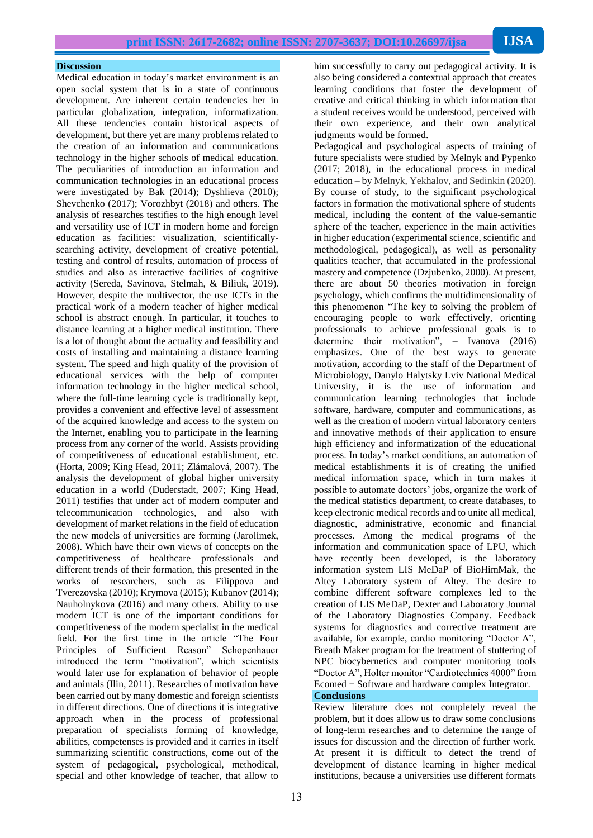### **Discussion**

Medical education in today's market environment is an open social system that is in a state of continuous development. Are inherent certain tendencies her in particular globalization, integration, informatization. All these tendencies contain historical aspects of development, but there yet are many problems related to the creation of an information and communications technology in the higher schools of medical education. The peculiarities of introduction an information and communication technologies in an educational process were investigated by Bak (2014); Dyshlieva (2010); Shevchenko (2017); Vorozhbyt (2018) and others. The analysis of researches testifies to the high enough level and versatility use of ICT in modern home and foreign education as facilities: visualization, scientificallysearching activity, development of creative potential, testing and control of results, automation of process of studies and also as interactive facilities of cognitive activity (Sereda, Savinova, Stelmah, & Biliuk, 2019). However, despite the multivector, the use ICTs in the practical work of a modern teacher of higher medical school is abstract enough. In particular, it touches to distance learning at a higher medical institution. There is a lot of thought about the actuality and feasibility and costs of installing and maintaining a distance learning system. The speed and high quality of the provision of educational services with the help of computer information technology in the higher medical school, where the full-time learning cycle is traditionally kept, provides a convenient and effective level of assessment of the acquired knowledge and access to the system on the Internet, enabling you to participate in the learning process from any corner of the world. Assists providing of competitiveness of educational establishment, etc. (Horta, 2009; King Head, 2011; Zlámalová, 2007). The analysis the development of global higher university education in a world (Duderstadt, 2007; King Head, 2011) testifies that under act of modern computer and telecommunication technologies, and also with development of market relations in the field of education the new models of universities are forming (Jarolímek, 2008). Which have their own views of concepts on the competitiveness of healthcare professionals and different trends of their formation, this presented in the works of researchers, such as Filippova and Tverezovska (2010); Krymova (2015); Kubanov (2014); Nauholnykova (2016) and many others. Ability to use modern ICT is one of the important conditions for competitiveness of the modern specialist in the medical field. For the first time in the article "The Four Principles of Sufficient Reason" Schopenhauer introduced the term "motivation", which scientists would later use for explanation of behavior of people and animals (Ilin, 2011). Researches of motivation have been carried out by many domestic and foreign scientists in different directions. One of directions it is integrative approach when in the process of professional preparation of specialists forming of knowledge, abilities, competenses is provided and it carries in itself summarizing scientific constructions, come out of the system of pedagogical, psychological, methodical, special and other knowledge of teacher, that allow to

him successfully to carry out pedagogical activity. It is also being considered a contextual approach that creates learning conditions that foster the development of creative and critical thinking in which information that a student receives would be understood, perceived with their own experience, and their own analytical judgments would be formed.

Pedagogical and psychological aspects of training of future specialists were studied by Melnyk and Pypenko (2017; 2018), in the educational process in medical education – by Melnyk, Yekhalov, and Sedinkin (2020). By course of study, to the significant psychological factors in formation the motivational sphere of students medical, including the content of the value-semantic sphere of the teacher, experience in the main activities in higher education (experimental science, scientific and methodological, pedagogical), as well as personality qualities teacher, that accumulated in the professional mastery and competence (Dzjubenko, 2000). At present, there are about 50 theories motivation in foreign psychology, which confirms the multidimensionality of this phenomenon "The key to solving the problem of encouraging people to work effectively, orienting professionals to achieve professional goals is to determine their motivation", – Ivanova (2016) emphasizes. One of the best ways to generate motivation, according to the staff of the Department of Microbiology, Danylo Halytsky Lviv National Medical University, it is the use of information and communication learning technologies that include software, hardware, computer and communications, as well as the creation of modern virtual laboratory centers and innovative methods of their application to ensure high efficiency and informatization of the educational process. In today's market conditions, an automation of medical establishments it is of creating the unified medical information space, which in turn makes it possible to automate doctors' jobs, organize the work of the medical statistics department, to create databases, to keep electronic medical records and to unite all medical, diagnostic, administrative, economic and financial processes. Among the medical programs of the information and communication space of LPU, which have recently been developed, is the laboratory information system LIS MeDaP of BioHimMak, the Altey Laboratory system of Altey. The desire to combine different software complexes led to the creation of LIS MeDaP, Dexter and Laboratory Journal of the Laboratory Diagnostics Company. Feedback systems for diagnostics and corrective treatment are available, for example, cardio monitoring "Doctor A", Breath Maker program for the treatment of stuttering of NPC biocybernetics and computer monitoring tools "Doctor A", Holter monitor "Cardiotechnics 4000" from Ecomed + Software and hardware complex Integrator. **Conclusions**

Review literature does not completely reveal the problem, but it does allow us to draw some conclusions of long-term researches and to determine the range of issues for discussion and the direction of further work. At present it is difficult to detect the trend of development of distance learning in higher medical institutions, because a universities use different formats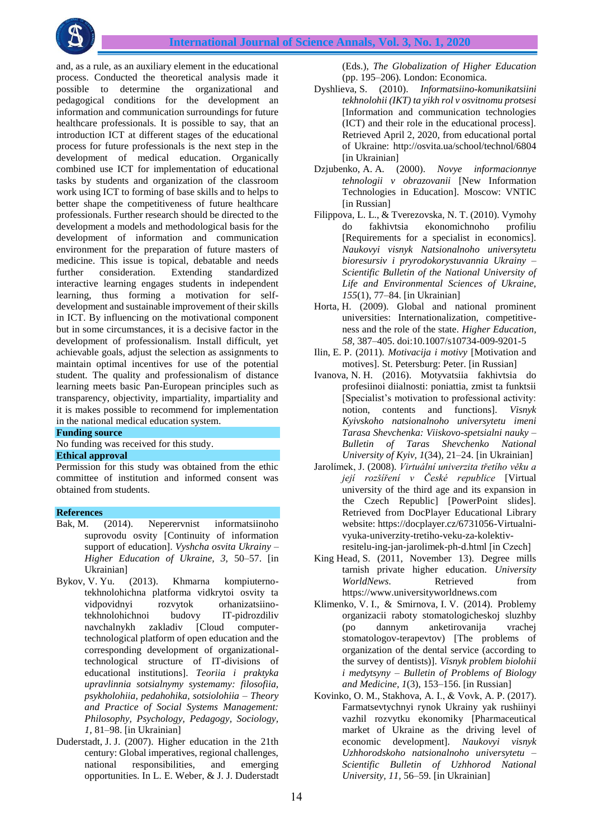and, as a rule, as an auxiliary element in the educational process. Conducted the theoretical analysis made it possible to determine the organizational and pedagogical conditions for the development an information and communication surroundings for future healthcare professionals. It is possible to say, that an introduction ICT at different stages of the educational process for future professionals is the next step in the development of medical education. Organically combined use ICT for implementation of educational tasks by students and organization of the classroom work using ICT to forming of base skills and to helps to better shape the competitiveness of future healthcare professionals. Further research should be directed to the development a models and methodological basis for the development of information and communication environment for the preparation of future masters of medicine. This issue is topical, debatable and needs further consideration. Extending standardized interactive learning engages students in independent learning, thus forming a motivation for selfdevelopment and sustainable improvement of their skills in ICT. By influencing on the motivational component but in some circumstances, it is a decisive factor in the development of professionalism. Install difficult, yet achievable goals, adjust the selection as assignments to maintain optimal incentives for use of the potential student. The quality and professionalism of distance learning meets basic Pan-European principles such as transparency, objectivity, impartiality, impartiality and it is makes possible to recommend for implementation in the national medical education system.

## **Funding source**

No funding was received for this study.

# **Ethical approval**

Permission for this study was obtained from the ethic committee of institution and informed consent was obtained from students.

### **References**

- Bak, M. (2014). Neperervnist informatsiinoho suprovodu osvity [Continuity of information support of education]. *Vyshcha osvita Ukrainy – Higher Education of Ukraine, 3,* 50–57. [in Ukrainian]
- Bykov, V. Yu. (2013). Khmarna kompiuternotekhnolohichna platforma vidkrytoi osvity ta vidpovidnyi rozvytok orhanizatsiinotekhnolohichnoi budovy IT-pidrozdiliv navchalnykh zakladiv [Cloud computertechnological platform of open education and the corresponding development of organizationaltechnological structure of IT-divisions of educational institutions]. *Teoriia i praktyka upravlinnia sotsialnymy systemamy: filosofiia, psykholohiia, pedahohika, sotsiolohiia – Theory and Practice of Social Systems Management: Philosophy, Psychology, Pedagogy, Sociology, 1,* 81–98. [in Ukrainian]
- Duderstadt, J. J. (2007). Higher education in the 21th century: Global imperatives, regional challenges, national responsibilities, and emerging opportunities. In L. E. Weber, & J. J. Duderstadt

(Eds.), *The Globalization of Higher Education* (pp. 195–206)*.* London: Economica.

- Dyshlieva, S. (2010). *Informatsiino-komunikatsiini tekhnolohii (IKT) ta yikh rol v osvitnomu protsesi* [Information and communication technologies (ICT) and their role in the educational process]. Retrieved April 2, 2020, from educational portal of Ukraine: http://osvita.ua/school/technol/6804 [in Ukrainian]
- Dzjubenko, A. A. (2000). *Novye informacionnye tehnologii v obrazovanii* [New Information Technologies in Education]. Moscow: VNTIC [in Russian]
- Filippova, L. L., & Tverezovska, N. T. (2010). Vymohy do fakhivtsia ekonomichnoho profiliu [Requirements for a specialist in economics]. *Naukovyi visnyk Natsionalnoho universytetu bioresursiv i pryrodokorystuvannia Ukrainy – Scientific Bulletin of the National University of Life and Environmental Sciences of Ukraine, 155*(1), 77–84. [in Ukrainian]
- Horta, H. (2009). Global and national prominent universities: Internationalization, competitiveness and the role of the state. *Higher Education, 58,* 387–405. doi:10.1007/s10734-009-9201-5
- Ilin, E. P. (2011). *Motivacija i motivy* [Motivation and motives]. St. Petersburg: Peter. [in Russian]
- Ivanova, N. H. (2016). Motyvatsiia fakhivtsia do profesiinoi diialnosti: poniattia, zmist ta funktsii [Specialist's motivation to professional activity: notion, contents and functions]. *Visnyk Kyivskoho natsionalnoho universytetu imeni Tarasa Shevchenka: Viiskovo-spetsialni nauky – Bulletin of Taras Shevchenko National University of Kyiv, 1*(34), 21–24. [in Ukrainian]
- Jarolímek, J. (2008). *Virtuální univerzita třetího věku a její rozšíření v České republice* [Virtual university of the third age and its expansion in the Czech Republic] [PowerPoint slides]. Retrieved from DocPlayer Educational Library website: https://docplayer.cz/6731056-Virtualnivyuka-univerzity-tretiho-veku-za-kolektivresitelu-ing-jan-jarolimek-ph-d.html [іn Czech]
- King Head, S. (2011, November 13). Degree mills tarnish private higher education. *University WorldNews*. Retrieved from https://www.universityworldnews.com
- Klimenko, V. I., & Smirnova, I. V. (2014). Problemy organizacii raboty stomatologicheskoj sluzhby (po dannym anketirovanija vrachej stomatologov-terapevtov) [The problems of organization of the dental service (according to the survey of dentists)]. *Visnyk problem biolohii i medytsyny – Bulletin of Problems of Biology and Medicine, 1*(3), 153–156. [in Russian]
- Kovinko, O. M., Stakhova, A. І., & Vovk, A. P. (2017). Farmatsevtychnyi rynok Ukrainy yak rushiinyi vazhil rozvytku ekonomiky [Pharmaceutical market of Ukraine as the driving level of economic development]. *Naukovyi visnyk Uzhhorodskoho natsionalnoho universytetu – Scientific Bulletin of Uzhhorod National University, 11,* 56–59. [in Ukrainian]